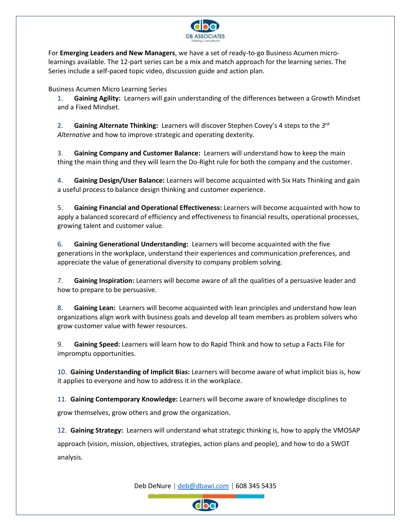

For **Emerging Leaders and New Managers**, we have a set of ready-to-go Business Acumen microlearnings available. The 12-part series can be a mix and match approach for the learning series. The Series include a self-paced topic video, discussion guide and action plan.

Business Acumen Micro Learning Series

1. **Gaining Agility:** Learners will gain understanding of the differences between a Growth Mindset and a Fixed Mindset.

2. **Gaining Alternate Thinking:** Learners will discover Stephen Covey's 4 steps to the *3 rd Alternative* and how to improve strategic and operating dexterity.

3. **Gaining Company and Customer Balance:** Learners will understand how to keep the main thing the main thing and they will learn the Do-Right rule for both the company and the customer.

4. **Gaining Design/User Balance:** Learners will become acquainted with Six Hats Thinking and gain a useful process to balance design thinking and customer experience.

5. **Gaining Financial and Operational Effectiveness:** Learners will become acquainted with how to apply a balanced scorecard of efficiency and effectiveness to financial results, operational processes, growing talent and customer value.

6. **Gaining Generational Understanding:** Learners will become acquainted with the five generations in the workplace, understand their experiences and communication preferences, and appreciate the value of generational diversity to company problem solving.

7. **Gaining Inspiration:** Learners will become aware of all the qualities of a persuasive leader and how to prepare to be persuasive.

8. **Gaining Lean:** Learners will become acquainted with lean principles and understand how lean organizations align work with business goals and develop all team members as problem solvers who grow customer value with fewer resources.

9. **Gaining Speed:** Learners will learn how to do Rapid Think and how to setup a Facts File for impromptu opportunities.

10. **Gaining Understanding of Implicit Bias:** Learners will become aware of what implicit bias is, how it applies to everyone and how to address it in the workplace.

11. **Gaining Contemporary Knowledge:** Learners will become aware of knowledge disciplines to grow themselves, grow others and grow the organization.

12. **Gaining Strategy:** Learners will understand what strategic thinking is, how to apply the VMOSAP

approach (vision, mission, objectives, strategies, action plans and people), and how to do a SWOT analysis.

Deb DeNure | [deb@dbawi.com](mailto:deb@dbawi.com) | 608 345 5435

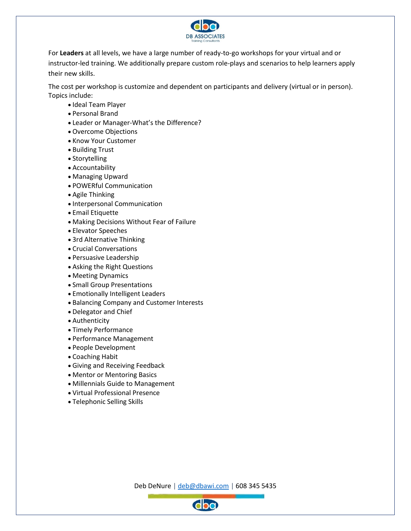

For **Leaders** at all levels, we have a large number of ready-to-go workshops for your virtual and or instructor-led training. We additionally prepare custom role-plays and scenarios to help learners apply their new skills.

The cost per workshop is customize and dependent on participants and delivery (virtual or in person). Topics include:

- Ideal Team Player
- Personal Brand
- Leader or Manager-What's the Difference?
- Overcome Objections
- Know Your Customer
- Building Trust
- Storytelling
- Accountability
- Managing Upward
- POWERful Communication
- Agile Thinking
- Interpersonal Communication
- Email Etiquette
- Making Decisions Without Fear of Failure
- Elevator Speeches
- 3rd Alternative Thinking
- Crucial Conversations
- Persuasive Leadership
- Asking the Right Questions
- Meeting Dynamics
- Small Group Presentations
- Emotionally Intelligent Leaders
- Balancing Company and Customer Interests
- Delegator and Chief
- Authenticity
- Timely Performance
- Performance Management
- People Development
- Coaching Habit
- Giving and Receiving Feedback
- Mentor or Mentoring Basics
- Millennials Guide to Management
- Virtual Professional Presence
- Telephonic Selling Skills

Deb DeNure | [deb@dbawi.com](mailto:deb@dbawi.com) | 608 345 5435